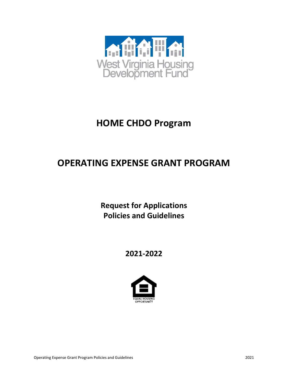

# **HOME CHDO Program**

# **OPERATING EXPENSE GRANT PROGRAM**

**Request for Applications Policies and Guidelines**

# **2021-2022**

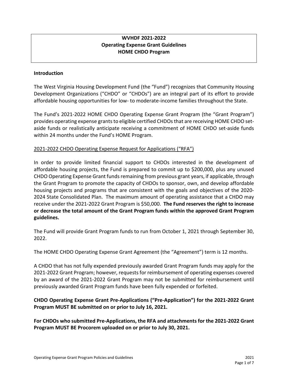# **WVHDF 2021-2022 Operating Expense Grant Guidelines HOME CHDO Program**

#### **Introduction**

The West Virginia Housing Development Fund (the "Fund") recognizes that Community Housing Development Organizations ("CHDO" or "CHDOs") are an integral part of its effort to provide affordable housing opportunities for low- to moderate-income families throughout the State.

The Fund's 2021-2022 HOME CHDO Operating Expense Grant Program (the "Grant Program") provides operating expense grants to eligible certified CHDOs that are receiving HOME CHDO setaside funds or realistically anticipate receiving a commitment of HOME CHDO set-aside funds within 24 months under the Fund's HOME Program.

# 2021-2022 CHDO Operating Expense Request for Applications ("RFA")

In order to provide limited financial support to CHDOs interested in the development of affordable housing projects, the Fund is prepared to commit up to \$200,000, plus any unused CHDO Operating Expense Grant funds remaining from previous grant years, if applicable, through the Grant Program to promote the capacity of CHDOs to sponsor, own, and develop affordable housing projects and programs that are consistent with the goals and objectives of the 2020- 2024 State Consolidated Plan. The maximum amount of operating assistance that a CHDO may receive under the 2021-2022 Grant Program is \$50,000. **The Fund reserves the right to increase or decrease the total amount of the Grant Program funds within the approved Grant Program guidelines.**

The Fund will provide Grant Program funds to run from October 1, 2021 through September 30, 2022.

The HOME CHDO Operating Expense Grant Agreement (the "Agreement") term is 12 months.

A CHDO that has not fully expended previously awarded Grant Program funds may apply for the 2021-2022 Grant Program; however, requests for reimbursement of operating expenses covered by an award of the 2021-2022 Grant Program may not be submitted for reimbursement until previously awarded Grant Program funds have been fully expended or forfeited.

**CHDO Operating Expense Grant Pre-Applications ("Pre-Application") for the 2021-2022 Grant Program MUST BE submitted on or prior to July 16, 2021.**

**For CHDOs who submitted Pre-Applications, the RFA and attachments for the 2021-2022 Grant Program MUST BE Procorem uploaded on or prior to July 30, 2021.**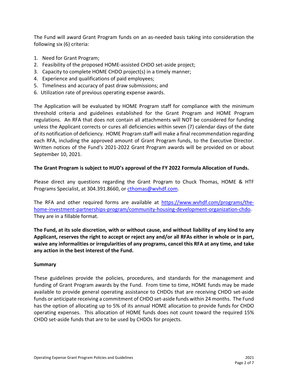The Fund will award Grant Program funds on an as-needed basis taking into consideration the following six (6) criteria:

- 1. Need for Grant Program;
- 2. Feasibility of the proposed HOME-assisted CHDO set-aside project;
- 3. Capacity to complete HOME CHDO project(s) in a timely manner;
- 4. Experience and qualifications of paid employees;
- 5. Timeliness and accuracy of past draw submissions; and
- 6. Utilization rate of previous operating expense awards.

The Application will be evaluated by HOME Program staff for compliance with the minimum threshold criteria and guidelines established for the Grant Program and HOME Program regulations. An RFA that does not contain all attachments will NOT be considered for funding unless the Applicant corrects or cures all deficiencies within seven (7) calendar days of the date of its notification of deficiency. HOME Program staff will make a final recommendation regarding each RFA, including the approved amount of Grant Program funds, to the Executive Director. Written notices of the Fund's 2021-2022 Grant Program awards will be provided on or about September 10, 2021.

# **The Grant Program is subject to HUD's approval of the FY 2022 Formula Allocation of Funds.**

Please direct any questions regarding the Grant Program to Chuck Thomas, HOME & HTF Programs Specialist, at 304.391.8660, or [cthomas@wvhdf.com.](mailto:cthomas@wvhdf.com)

The RFA and other required forms are available at [https://www.wvhdf.com/programs/the](https://www.wvhdf.com/programs/the-home-investment-partnerships-program/community-housing-development-organization-chdo)[home-investment-partnerships-program/community-housing-development-organization-chdo.](https://www.wvhdf.com/programs/the-home-investment-partnerships-program/community-housing-development-organization-chdo) They are in a fillable format.

**The Fund, at its sole discretion, with or without cause, and without liability of any kind to any Applicant, reserves the right to accept or reject any and/or all RFAs either in whole or in part, waive any informalities or irregularities of any programs, cancel this RFA at any time, and take any action in the best interest of the Fund.**

# **Summary**

These guidelines provide the policies, procedures, and standards for the management and funding of Grant Program awards by the Fund. From time to time, HOME funds may be made available to provide general operating assistance to CHDOs that are receiving CHDO set-aside funds or anticipate receiving a commitment of CHDO set-aside funds within 24 months. The Fund has the option of allocating up to 5% of its annual HOME allocation to provide funds for CHDO operating expenses. This allocation of HOME funds does not count toward the required 15% CHDO set-aside funds that are to be used by CHDOs for projects.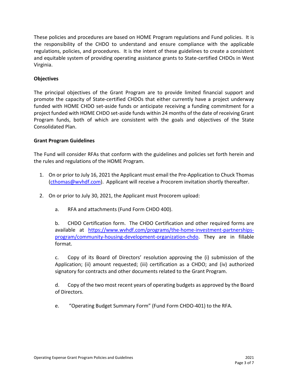These policies and procedures are based on HOME Program regulations and Fund policies. It is the responsibility of the CHDO to understand and ensure compliance with the applicable regulations, policies, and procedures. It is the intent of these guidelines to create a consistent and equitable system of providing operating assistance grants to State-certified CHDOs in West Virginia.

### **Objectives**

The principal objectives of the Grant Program are to provide limited financial support and promote the capacity of State-certified CHDOs that either currently have a project underway funded with HOME CHDO set-aside funds or anticipate receiving a funding commitment for a project funded with HOME CHDO set-aside funds within 24 months of the date of receiving Grant Program funds, both of which are consistent with the goals and objectives of the State Consolidated Plan.

#### **Grant Program Guidelines**

The Fund will consider RFAs that conform with the guidelines and policies set forth herein and the rules and regulations of the HOME Program.

- 1. On or prior to July 16, 2021 the Applicant must email the Pre-Application to Chuck Thomas [\(cthomas@wvhdf.com\)](mailto:cthomas@wvhdf.com). Applicant will receive a Procorem invitation shortly thereafter.
- 2. On or prior to July 30, 2021, the Applicant must Procorem upload:
	- a. RFA and attachments (Fund Form CHDO 400).

b. CHDO Certification form. The CHDO Certification and other required forms are available at [https://www.wvhdf.com/programs/the-home-investment-partnerships](https://www.wvhdf.com/programs/the-home-investment-partnerships-program/community-housing-development-organization-chdo)[program/community-housing-development-organization-chdo.](https://www.wvhdf.com/programs/the-home-investment-partnerships-program/community-housing-development-organization-chdo) They are in fillable format.

c. Copy of its Board of Directors' resolution approving the (i) submission of the Application; (ii) amount requested; (iii) certification as a CHDO; and (iv) authorized signatory for contracts and other documents related to the Grant Program.

d. Copy of the two most recent years of operating budgets as approved by the Board of Directors.

e. "Operating Budget Summary Form" (Fund Form CHDO-401) to the RFA.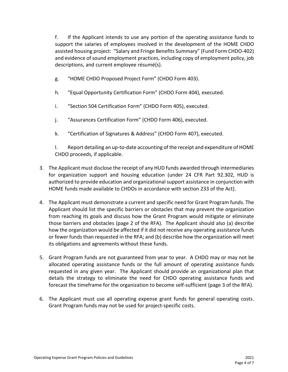f. If the Applicant intends to use any portion of the operating assistance funds to support the salaries of employees involved in the development of the HOME CHDO assisted housing project: "Salary and Fringe Benefits Summary" (Fund Form CHDO-402) and evidence of sound employment practices, including copy of employment policy, job descriptions, and current employee résumé(s).

- g. "HOME CHDO Proposed Project Form" (CHDO Form 403).
- h. "Equal Opportunity Certification Form" (CHDO Form 404), executed.
- i. "Section 504 Certification Form" (CHDO Form 405), executed.
- j. "Assurances Certification Form" (CHDO Form 406), executed.
- k. "Certification of Signatures & Address" (CHDO Form 407), executed.

l. Report detailing an up-to-date accounting of the receipt and expenditure of HOME CHDO proceeds, if applicable.

- 3. The Applicant must disclose the receipt of any HUD funds awarded through intermediaries for organization support and housing education (under 24 CFR Part 92.302, HUD is authorized to provide education and organizational support assistance in conjunction with HOME funds made available to CHDOs in accordance with section 233 of the Act).
- 4. The Applicant must demonstrate a current and specific need for Grant Program funds. The Applicant should list the specific barriers or obstacles that may prevent the organization from reaching its goals and discuss how the Grant Program would mitigate or eliminate those barriers and obstacles (page 2 of the RFA). The Applicant should also (a) describe how the organization would be affected if it did not receive any operating assistance funds or fewer funds than requested in the RFA; and (b) describe how the organization will meet its obligations and agreements without these funds.
- 5. Grant Program funds are not guaranteed from year to year. A CHDO may or may not be allocated operating assistance funds or the full amount of operating assistance funds requested in any given year. The Applicant should provide an organizational plan that details the strategy to eliminate the need for CHDO operating assistance funds and forecast the timeframe for the organization to become self-sufficient (page 3 of the RFA).
- 6. The Applicant must use all operating expense grant funds for general operating costs. Grant Program funds may not be used for project-specific costs.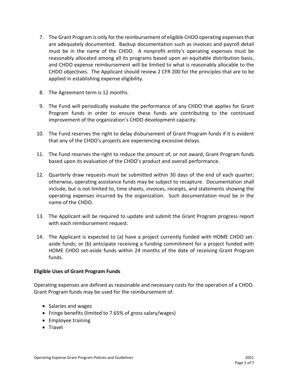- 7. The Grant Program is only for the reimbursement of eligible CHDO operating expenses that are adequately documented. Backup documentation such as invoices and payroll detail must be in the name of the CHDO. A nonprofit entity's operating expenses must be reasonably allocated among all its programs based upon an equitable distribution basis, and CHDO expense reimbursement will be limited to what is reasonably allocable to the CHDO objectives. The Applicant should review 2 CFR 200 for the principles that are to be applied in establishing expense eligibility.
- 8. The Agreement term is 12 months.
- 9. The Fund will periodically evaluate the performance of any CHDO that applies for Grant Program funds in order to ensure these funds are contributing to the continued improvement of the organization's CHDO development capacity.
- 10. The Fund reserves the right to delay disbursement of Grant Program funds if it is evident that any of the CHDO's projects are experiencing excessive delays.
- 11. The Fund reserves the right to reduce the amount of, or not award, Grant Program funds based upon its evaluation of the CHDO's product and overall performance.
- 12. Quarterly draw requests must be submitted within 30 days of the end of each quarter; otherwise, operating assistance funds may be subject to recapture. Documentation shall include, but is not limited to, time sheets, invoices, receipts, and statements showing the operating expenses incurred by the organization. Such documentation must be in the name of the CHDO.
- 13. The Applicant will be required to update and submit the Grant Program progress report with each reimbursement request.
- 14. The Applicant is expected to (a) have a project currently funded with HOME CHDO setaside funds; or (b) anticipate receiving a funding commitment for a project funded with HOME CHDO set-aside funds within 24 months of the date of receiving Grant Program funds.

#### **Eligible Uses of Grant Program Funds**

Operating expenses are defined as reasonable and necessary costs for the operation of a CHDO. Grant Program funds may be used for the reimbursement of:

- Salaries and wages
- Fringe benefits (limited to 7.65% of gross salary/wages)
- Employee training
- Travel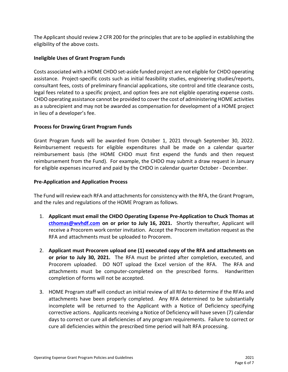The Applicant should review 2 CFR 200 for the principles that are to be applied in establishing the eligibility of the above costs.

### **Ineligible Uses of Grant Program Funds**

Costs associated with a HOME CHDO set-aside funded project are not eligible for CHDO operating assistance. Project-specific costs such as initial feasibility studies, engineering studies/reports, consultant fees, costs of preliminary financial applications, site control and title clearance costs, legal fees related to a specific project, and option fees are not eligible operating expense costs. CHDO operating assistance cannot be provided to cover the cost of administering HOME activities as a subrecipient and may not be awarded as compensation for development of a HOME project in lieu of a developer's fee.

#### **Process for Drawing Grant Program Funds**

Grant Program funds will be awarded from October 1, 2021 through September 30, 2022. Reimbursement requests for eligible expenditures shall be made on a calendar quarter reimbursement basis (the HOME CHDO must first expend the funds and then request reimbursement from the Fund). For example, the CHDO may submit a draw request in January for eligible expenses incurred and paid by the CHDO in calendar quarter October - December.

#### **Pre-Application and Application Process**

The Fund will review each RFA and attachments for consistency with the RFA, the Grant Program, and the rules and regulations of the HOME Program as follows.

- 1. **Applicant must email the CHDO Operating Expense Pre-Application to Chuck Thomas at [cthomas@wvhdf.com](mailto:cthomas@wvhdf.com) on or prior to July 16, 2021.** Shortly thereafter, Applicant will receive a Procorem work center invitation. Accept the Procorem invitation request as the RFA and attachments must be uploaded to Procorem.
- 2. **Applicant must Procorem upload one (1) executed copy of the RFA and attachments on or prior to July 30, 2021.** The RFA must be printed after completion, executed, and Procorem uploaded. DO NOT upload the Excel version of the RFA. The RFA and attachments must be computer-completed on the prescribed forms. Handwritten completion of forms will not be accepted.
- 3. HOME Program staff will conduct an initial review of all RFAs to determine if the RFAs and attachments have been properly completed. Any RFA determined to be substantially incomplete will be returned to the Applicant with a Notice of Deficiency specifying corrective actions. Applicants receiving a Notice of Deficiency will have seven (7) calendar days to correct or cure all deficiencies of any program requirements. Failure to correct or cure all deficiencies within the prescribed time period will halt RFA processing.